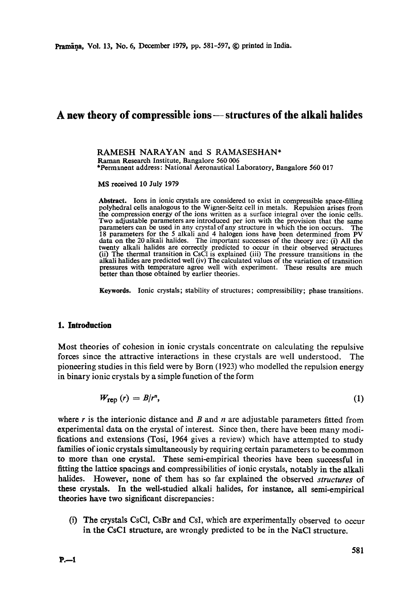# A new theory of compressible ions – structures of the alkali halides

RAMESH NARAYAN and S RAMASESHAN\* Rarnan Research Institute, Bangalore 560 006 \*Permanent address: National Aeronautical Laboratory, Bangalore 560 017

MS received 10 July 1979

**Abstract.** Ions in ionic crystals are considered to exist in compressible space-filling polyhedral cells analogous to the Wigner-Seitz cell in metals. Repulsion arises from **the** compression energy of the ions written as a surface integral over the ionic cells. Two adjustable parameters are introduced per ion with the provision that the same parameters can be used in any crystal of any structure in which the ion occurs. The 18 parameters for the 5 alkali and 4 halogen ions have been determined from PV data on the 20 alkali halides. The important successes of the theory are: (i) All the twenty alkali halides are correctly predicted to occur in their observed structures (ii) The thermal transition in CsC1 is explained (iii) The pressure transitions in the alkali halides are predicted well (iv) The calculated values of the variation of transition pressures with temperature agree well with experiment. These results are much better than those obtained by earlier theories.

Keywords. Ionic crystals; stability of structures; compressibility; phase transitions.

#### **1. Introduction**

Most theories of cohesion in ionic crystals concentrate on calculating the repulsive forces since the attractive interactions in these crystals are well understood. The pioneering studies in this field were by Born (1923) who modelled the repulsion energy in binary ionic crystals by a simple function of the form

$$
W_{\text{rep}}\left(r\right) = B/r^n,\tag{1}
$$

where r is the interionic distance and B and  $n$  are adjustable parameters fitted from experimental data on the crystal of interest. Since then, there have been many modifications and extensions (Tosi, 1964 gives a review) which have attempted to study families of ionic crystals simultaneously by requiring certain parameters to be common to more than one crystal. These semi-empirical theories have been successful in fitting the lattice spacings and eompressibilities of ionic crystals, notably in the alkali halides. However, none of them has so far explained the observed *structures* of these crystals. In the well-studied alkali halides, for instance, all semi-empirical theories have two significant discrepancies:

(i) The crystals CsC1, CsBr and CsI, which are experimentally observed to occur **in** the CsC1 structure, are wrongly predicted to be in the NaC1 structure.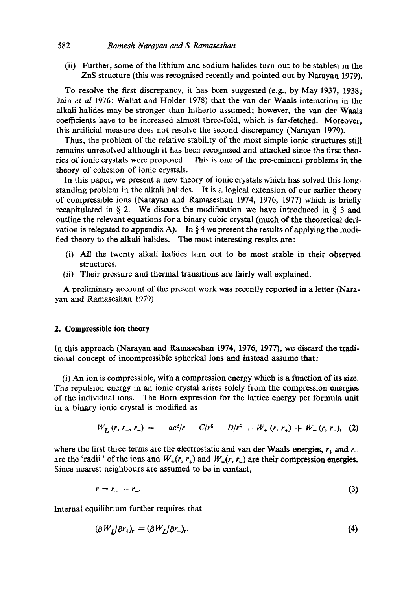### 582 **Ramesh Narayan and S Ramaseshan**

(ii) Further, some of the lithium and sodium halides turn out to be stablest in the ZnS structure (this was recognised recently and pointed out by Naxayan 1979).

To resolve the first discrepancy, it has been suggested (e.g., by May 1937, 1938; Jain *et al* 1976; Wallat and Holder 1978) that the van der Waals interaction in the alkali halides may be stronger than hitherto assumed; however, the van der Waals coefficients have to be increased almost three-fold, which is far-fetched. Moreover, this artificial measure does not resolve the second discrepancy (Narayan 1979).

Thus, the problem of the relative stability of the most simple ionic structures still remains unresolved although it has been recognised and attacked since the first theories of ionic crystals were proposed. This is one of the pre-eminent problems in the theory of cohesion of ionic crystals.

In this paper, we present a new theory of ionic crystals which has solved this longstanding problem in the alkali halides. It is a logical extension of our earlier theory of compressible ions (Narayan and Ramaseshan 1974, 1976, 1977) which is briefly recapitulated in  $\S$  2. We discuss the modification we have introduced in  $\S$  3 and outline the relevant equations for a binary cubic crystal (much of the theoretical derivation is relegated to appendix A). In  $\S 4$  we present the results of applying the modified theory to the alkali halides. The most interesting results are:

- (i) All the twenty alkali halides turn out to be most stable in their observed structures.
- (ii) Their pressure and thermal transitions are fairly well explained.

A preliminary account of the present work was recently reported in a letter (Narayan and Ramaseshan 1979).

#### 2. Compressible ion **theory**

In this approach (Narayan and Ranmseshan 1974, 1976, 1977), we discard the traditional concept of incompressible spherical ions and instead assume that:

(i) An ion is compressible, with a compression energy which is a function of its size. The repulsion energy in an ionic crystal arises solely from the compression energies of the individual ions. The Born expression for the lattice energy per formula unit in a binary ionic crystal is modified as

$$
W_L(r, r_+, r_-) = -ae^2/r - C/r^6 - D/r^8 + W_+(r, r_+) + W_-(r, r_-), \quad (2)
$$

where the first three terms are the electrostatic and van der Waals energies,  $r_+$  and  $r_$ are the 'radii' of the ions and  $W_+(r, r_+)$  and  $W_-(r, r_-)$  are their compression energies. Since nearest neighbours are assumed to be in contact,

$$
r = r_+ + r_-\tag{3}
$$

Internal equilibrium further requires that

$$
(\partial W_L/\partial r_+)_r = (\partial W_L/\partial r_-)_r. \tag{4}
$$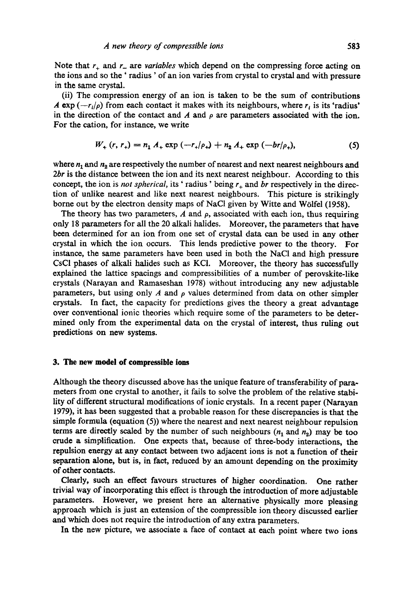Note that  $r_+$  and  $r_-$  are *variables* which depend on the compressing force acting on the ions and so the ' radius' of an ion varies from crystal to crystal and with pressure in the same crystal.

(ii) The compression energy of an ion is taken to be the sum of contributions A exp  $(-r_i/\rho)$  from each contact it makes with its neighbours, where  $r_i$  is its 'radius' in the direction of the contact and A and  $\rho$  are parameters associated with the ion. For the cation, for instance, we write

$$
W_{+} (r, r_{+}) = n_{1} A_{+} \exp (-r_{+}/\rho_{+}) + n_{2} A_{+} \exp (-\rho_{+}/\rho_{+}), \qquad (5)
$$

where  $n_1$  and  $n_2$  are respectively the number of nearest and next nearest neighbours and *2br* is the distance between the ion and its next nearest neighbour. According to this concept, the ion is *not spherical*, its 'radius' being  $r_{+}$  and *br* respectively in the direction of unlike nearest and like next nearest neighbours. This picture is strikingly borne out by the electron density maps of NaC1 given by Witte and W61fel (1958).

The theory has two parameters,  $A$  and  $\rho$ , associated with each ion, thus requiring only 18 parameters for all the 20 alkali halides. Moreover, the parameters that have been determined for an ion from one set of crystal data can be used in any other crystal in which the ion occurs. This lends predictive power to the theory. For instance, the same parameters have been used in both the NaCI and high pressure CsCI phases of alkali halides such as KCI. Moreover, the theory has successfully explained the lattice spacings and compressibilities of a number of perovskite-like crystals (Narayan and Ramaseshan 1978) without introducing any new adjustable parameters, but using only A and  $\rho$  values determined from data on other simpler crystals. In fact, the capacity for predictions gives the theory a great advantage over conventional ionic theories which require some of the parameters to be determined only from the experimental data on the crystal of interest, thus ruling out predictions on new systems.

#### **3. The new model of compressible ions**

Although the theory discussed above has the unique feature of transferability of parameters from one crystal to another, it fails to solve the problem of the relative stability of different structural modifications of ionic crystals. In a recent paper (Narayan 1979), it has been suggested that a probable reason for these discrepancies is that the simple formula (equation (5)) where the nearest and next nearest neighbour repulsion terms are directly scaled by the number of such neighbours  $(n_1 \text{ and } n_2)$  may be too crude a simplification. One expects that, because of three-body interactions, the repulsion energy at any contact between two adjacent ions is not a function of their separation alone, but is, in fact, reduced by an amount depending on the proximity of other contacts.

Clearly, such an effect favours structures of higher coordination. One rather trivial way of incorporating this effect is through the introduction of more adjustable parameters. However, we present here an alternative physically more pleasing approach which is just an extension of the compressible ion theory discussed earlier and which does not require the introduction of any extra parameters.

In the new picture, we associate a face of contact at each point where two **ions**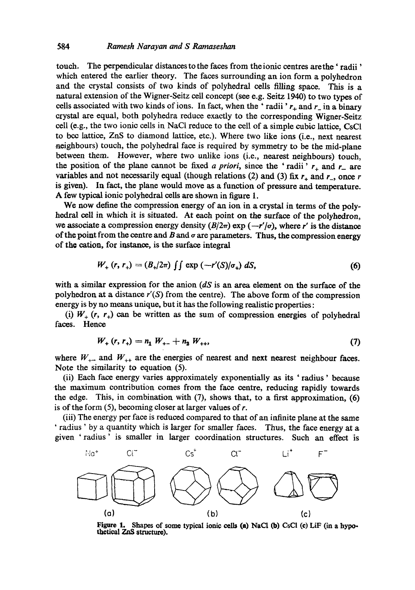touch. The perpendicular distances to the faces from the ionic centres are the 'radii' which entered the earlier theory. The faces surrounding an ion form a polyhedron and the crystal consists of two kinds of polyhedral cells filling space. This is a natural extension of the Wigner-Seitz cell concept (see e.g. Seitz 1940) to two types of cells associated with two kinds of ions. In fact, when the 'radii'  $r_+$  and  $r_-$  in a binary crystal are equal, both polyhedra reduce exactly to the corresponding Wiguer-Seitz cell (e.g., the two ionic cells in NaCI reduce to the cell of a simple cubic lattice, CsCI to bee lattice, ZnS to diamond lattice, etc.). Where two like ions (i.e., next nearest aeighbours) touch, the polyhedral face is required by symmetry to be the mid-plane between them. However, where two unlike ions (i.e., nearest neighbours) touch, the position of the plane cannot be fixed *a priori*, since the 'radii'  $r_+$  and  $r_-$  are variables and not necessarily equal (though relations (2) and (3) fix  $r_+$  and  $r_-$ , once r is given). In fact, the plane would move as a function of pressure and temperature. A few typical ionic polyhedral cells are shown in figure 1.

We now define the compression energy of an ion in a crystal in terms of the polyhedral cell in which it is situated. At each point on the surface of the polyhedron, we associate a compression energy density  $(B/2\pi)$  exp  $(-r'/\sigma)$ , where r' is the distance of the point from the centre and  $B$  and  $\sigma$  are parameters. Thus, the compression energy of the cation, for instance, is the surface integral

$$
W_{+}(r, r_{+}) = (B_{+}/2\pi) \iint \exp(-r'(S)/\sigma_{+}) dS,
$$
 (6)

with a similar expression for the anion *(dS* is an area element on the surface of the polyhedron at a distance *r'(S)* from the centre). The above form of the compression energy is by no means unique, but it has the following realistic properties:

(i)  $W_+$  (r,  $r_+$ ) can be written as the sum of compression energies of polyhedral faces. Hence

$$
W_{+} (r, r_{+}) = n_{1} W_{+ -} + n_{2} W_{+}, \qquad (7)
$$

where  $W_{++}$  and  $W_{++}$  are the energies of nearest and next nearest neighbour faces. Note the similarity to equation (5).

(ii) Each face energy varies approximately exponentially as its ' radius' because the maximum contribution comes from the face centre, reducing rapidly towards the edge. This, in combination with (7), shows that, to a first approximation, (6) is of the form  $(5)$ , becoming closer at larger values of r.

(iii) The energy per face is reduced compaxed to that of an infinite plane at the same ' radius ' by a quantity which is larger for smaller faces. Thus, the face energy at a given 'radius' is smaller in larger coordination structures. Such an effect is



Figure 1. Shapes of some typical ionic cells (a) NaCl (b) CsCl (c) LiF (in a hypothetical ZnS structure).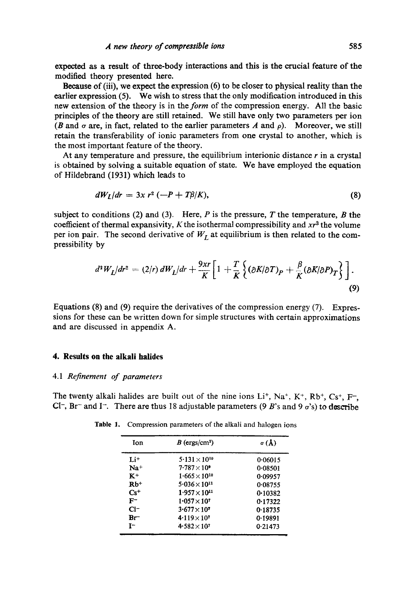expected as a result of three-body interactions and this is the crucial feature of the modified theory presented here.

Because of (iii), we expect the expression (6) to be closer to physical reality than the earlier expression (5). We wish to stress that the only modification introduced in this new extension of the theory is in the *form* of the compression energy. All the basic principles of the theory are still retained. We still have only two parameters per ion (B and  $\sigma$  are, in fact, related to the earlier parameters A and  $\rho$ ). Moreover, we still retain the transferability of ionic parameters from one crystal to another, which is the most important feature of the theory.

At any temperature and pressure, the equilibrium interionic distance  $r$  in a crystal is obtained by solving a suitable equation of state. We have employed the equation of Hildebrand (1931) which leads to

$$
dW_L/dr = 3x r^2 \left(-P + T\beta/K\right),\tag{8}
$$

subject to conditions (2) and (3). Here, P is the pressure, T the temperature, B the coefficient of thermal expansivity,  $K$  the isothermal compressibility and  $xr^3$  the volume per ion pair. The second derivative of  $W_L$  at equilibrium is then related to the compressibility by

$$
d^2W_L/dr^2 = (2/r) dW_L/dr + \frac{9xr}{K} \left[ 1 + \frac{T}{K} \left\{ (\partial K/\partial T)_P + \frac{\beta}{K} (\partial K/\partial P)_T \right\} \right].
$$
\n(9)

Equations (8) and (9) require the derivatives of the compression energy (7). Expressions for these can be written down for simple structures with certain approximations and are discussed in appendix A.

## **4. Results on the alkali halides**

#### 4.1 *Refinement of parameters*

The twenty alkali halides are built out of the nine ions  $Li^+$ ,  $Na^+$ ,  $K^+$ ,  $Rb^+$ ,  $Cs^+$ ,  $F^-$ , CI-, Br- and I-. There are thus 18 adjustable parameters (9 B's and 9  $\sigma$ 's) to describe

| Ion      | $B$ (ergs/cm <sup>2</sup> ) | $\sigma(\lambda)$ |
|----------|-----------------------------|-------------------|
| $Li+$    | $5.131 \times 10^{10}$      | 0.06015           |
| $Na+$    | $7.787 \times 10^9$         | 0.08501           |
| $K^+$    | $1.665 \times 10^{10}$      | 0.09957           |
| $Rb+$    | $5.036 \times 10^{11}$      | 0.08755           |
| $Cs^{+}$ | $1.957 \times 10^{11}$      | 0.10382           |
| $F^-$    | $1.057 \times 10^{7}$       | 0.17322           |
| $Cl-$    | $3.677 \times 10^{7}$       | 0.18735           |
| $Br^-$   | $4.119 \times 10^{7}$       | 0.19891           |
| $r-$     | $4.582 \times 10^{7}$       | 0.21473           |

Table 1. Compression parameters of the alkali and halogen ions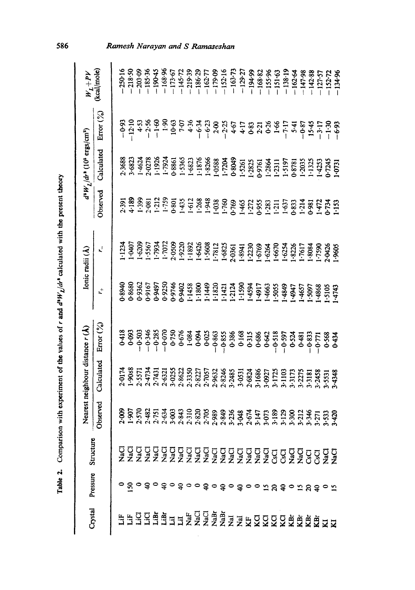| <b>،</b><br>;<br>;<br>è<br>ໍ່<br>.<br>.<br>.<br>I<br>$\mathbf{z}$<br>ì<br>i<br>、このこと、<br>٦<br>é,<br><b>E FRANCISCO</b> |  |
|------------------------------------------------------------------------------------------------------------------------|--|
| Ï                                                                                                                      |  |
| <b>THE REAL PROPERTY</b>                                                                                               |  |
|                                                                                                                        |  |
|                                                                                                                        |  |
| $\overline{ }$                                                                                                         |  |
|                                                                                                                        |  |

*O0* 

|         |                                |           |                                                    | Nearest neighbour distance $r(A)$                               |                                  |                                                        | Ionic radii (A)                                                          |                                           | $d^3W_L/dr^2$ (10 <sup>5</sup> ergs/cm <sup>2</sup> )                                                                                                                                                                                                                                       |                                                                                                                    |                                      |
|---------|--------------------------------|-----------|----------------------------------------------------|-----------------------------------------------------------------|----------------------------------|--------------------------------------------------------|--------------------------------------------------------------------------|-------------------------------------------|---------------------------------------------------------------------------------------------------------------------------------------------------------------------------------------------------------------------------------------------------------------------------------------------|--------------------------------------------------------------------------------------------------------------------|--------------------------------------|
| Crystal | Pressure                       | Structure | Observed                                           | Calculated                                                      | Error (%)                        | $\mathbf{L}^+$                                         | با                                                                       | Observed                                  | Calculated                                                                                                                                                                                                                                                                                  | Error (%)                                                                                                          | (kcal/mole)<br>$W_{\mathcal{I}}+P$ V |
|         |                                |           |                                                    |                                                                 |                                  |                                                        |                                                                          |                                           |                                                                                                                                                                                                                                                                                             |                                                                                                                    |                                      |
|         |                                |           | 2.009                                              |                                                                 |                                  | 0-8940<br>0-8680<br>0-9362                             | 1234                                                                     |                                           |                                                                                                                                                                                                                                                                                             |                                                                                                                    | 250.16                               |
|         |                                |           |                                                    |                                                                 |                                  |                                                        | 0407                                                                     |                                           | 2.3688<br>3.6823                                                                                                                                                                                                                                                                            |                                                                                                                    | $-218.50$                            |
|         |                                |           | 1.907<br>2.570                                     | 2-0174<br>1-9088<br>2-5574731<br>2-3-6525<br>2-3-8622<br>2-3550 | 0-418<br>0-03<br>0-503           |                                                        | .6209                                                                    | 2.391<br>4.189<br>4.399<br>1.759<br>1.759 |                                                                                                                                                                                                                                                                                             | $-0.93$<br>$-12.10$<br>$+5.5$<br>$-2.56$<br>$-1.60$<br>$-1.90$                                                     | $-203.09$                            |
|         |                                |           | 2.482                                              |                                                                 |                                  | 0.9167                                                 |                                                                          |                                           | $+628$<br>$+1926$<br>$+1924$                                                                                                                                                                                                                                                                |                                                                                                                    | $-185.36$                            |
|         |                                |           | $2.751$<br>$2.634$                                 |                                                                 | $-0.346$<br>$-0.385$<br>$-0.070$ | 0.9497                                                 |                                                                          |                                           |                                                                                                                                                                                                                                                                                             |                                                                                                                    | $-190.45$<br>-168.96                 |
|         |                                |           |                                                    |                                                                 |                                  | 0.9250                                                 | 1.5567<br>1.7934<br>2.0509                                               |                                           |                                                                                                                                                                                                                                                                                             |                                                                                                                    |                                      |
|         |                                |           |                                                    |                                                                 |                                  | 06746                                                  |                                                                          | 0.801                                     | 1988-1                                                                                                                                                                                                                                                                                      |                                                                                                                    | $-173.67$                            |
|         |                                |           |                                                    |                                                                 |                                  | 0.9402                                                 |                                                                          |                                           |                                                                                                                                                                                                                                                                                             |                                                                                                                    | $-145 - 72$                          |
|         |                                |           | 3.843<br>2.310<br>2.310                            |                                                                 | $0.750$<br>0.676<br>1.084        |                                                        |                                                                          |                                           |                                                                                                                                                                                                                                                                                             |                                                                                                                    | $-219.39$                            |
|         |                                |           | 2.820                                              |                                                                 | 0.035<br>0.025                   |                                                        |                                                                          |                                           |                                                                                                                                                                                                                                                                                             |                                                                                                                    | $-186.29$                            |
|         |                                |           |                                                    |                                                                 |                                  |                                                        |                                                                          |                                           |                                                                                                                                                                                                                                                                                             |                                                                                                                    | $-162.77$                            |
|         |                                |           | 2.989                                              |                                                                 | $-0.863$                         |                                                        |                                                                          |                                           |                                                                                                                                                                                                                                                                                             |                                                                                                                    |                                      |
|         |                                |           |                                                    | 2.8227<br>2.7057<br>2.9632<br>2.82485<br>3.2485                 | $-0.855$                         |                                                        |                                                                          |                                           |                                                                                                                                                                                                                                                                                             |                                                                                                                    | $-179.09$<br>$-152.16$               |
|         |                                |           |                                                    |                                                                 | 0.386                            |                                                        | 1-9220<br>1-1892<br>1-6426<br>1-7812<br>1-6825<br>1-6825                 |                                           |                                                                                                                                                                                                                                                                                             | $10.63$<br>$7.5$<br>$7.5$<br>$4.3$<br>$-6.3$<br>$-1.2$<br>$-1.5$<br>$-1.5$<br>$-1.7$<br>$-1.7$<br>$-1.7$<br>$-1.7$ |                                      |
|         |                                |           |                                                    | 3.0531                                                          | 0.168                            |                                                        |                                                                          |                                           |                                                                                                                                                                                                                                                                                             |                                                                                                                    | $-163.73$<br>-129.27                 |
|         | ०४०६०६०६००६०६०६००० यथ६० यथ६० य |           | 2.849<br>3.236<br>3.041<br>2.673<br>3.189<br>3.189 | 2-6824<br>3-1686                                                | 0.315<br>0.686                   | 11458<br>11400<br>114210<br>114210<br>114594<br>114594 | 8941<br>- 67230<br>- 6764<br>- 6734<br>- 6734<br>- 7895<br>- 7896 - 1799 |                                           | $\begin{array}{r} 1.5365 \\ 1.8266 \\ 1.87688 \\ 1.93888 \\ 1.93838 \\ 1.9325 \\ 1.9325 \\ 1.9325 \\ 1.9332 \\ 1.9333 \\ 1.9348 \\ 1.935 \\ 1.9333 \\ 1.9333 \\ 1.9333 \\ 1.1333 \\ 1.1333 \\ 1.1333 \\ 1.1333 \\ 1.1333 \\ 1.1333 \\ 1.1333 \\ 1.1333 \\ 1.1333 \\ 1.1333 \\ 1.1333 \\ 1.$ | 0.83                                                                                                               | $-194.99$                            |
|         |                                |           |                                                    |                                                                 |                                  |                                                        |                                                                          |                                           |                                                                                                                                                                                                                                                                                             |                                                                                                                    | $-168.82$                            |
|         |                                |           |                                                    | 3.0927                                                          | 0.642                            | .4663                                                  |                                                                          |                                           |                                                                                                                                                                                                                                                                                             | $2.21$<br>0.26<br>0.36<br>1.54<br>1.17<br>5.41                                                                     | $-155.96$                            |
|         |                                |           |                                                    | 3.1725<br>3.1103                                                | $-0.518$                         | .5055                                                  |                                                                          |                                           |                                                                                                                                                                                                                                                                                             |                                                                                                                    | $-151.63$                            |
|         |                                |           |                                                    |                                                                 |                                  | $-4849$                                                |                                                                          |                                           |                                                                                                                                                                                                                                                                                             |                                                                                                                    | $-138.19$                            |
|         |                                |           |                                                    | 3.3173<br>3.2275<br>3.3181                                      | $-0.597$<br>0.524<br>0.481       | 1947<br>1949<br>1959                                   |                                                                          |                                           |                                                                                                                                                                                                                                                                                             |                                                                                                                    | $-162.64$                            |
|         |                                |           |                                                    |                                                                 |                                  |                                                        |                                                                          |                                           |                                                                                                                                                                                                                                                                                             |                                                                                                                    |                                      |
|         |                                |           |                                                    |                                                                 | $-0.833$                         |                                                        |                                                                          |                                           |                                                                                                                                                                                                                                                                                             |                                                                                                                    | $-147.98$<br>-142.88                 |
|         |                                |           |                                                    | .2458                                                           | $-0.771$<br>0.568                | .4868                                                  |                                                                          |                                           |                                                                                                                                                                                                                                                                                             |                                                                                                                    |                                      |
|         |                                |           | 2128<br>321345<br>3213553<br>3429                  | 1.5531                                                          |                                  | SPLP.<br>SOIS.                                         | 2.0426<br>3005.                                                          |                                           |                                                                                                                                                                                                                                                                                             | $15.45$<br>$-3.77$<br>$-1.30$<br>$-6.93$                                                                           |                                      |
|         |                                |           |                                                    | \$4348                                                          | $0 - 434$                        |                                                        |                                                                          |                                           |                                                                                                                                                                                                                                                                                             |                                                                                                                    | $-127.57$<br>$-152.72$<br>$-134.96$  |

## Ramesh Narayan and S Ramaseshan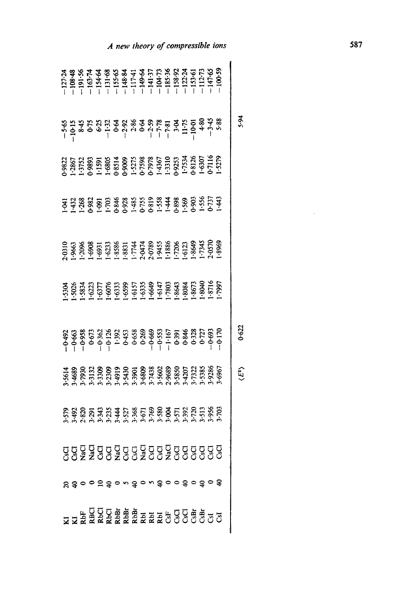|  |                                                                                                                                                                                                                                                                                                                |  |  |  |  |  |  |  | $\ddot{6}$ |                       |
|--|----------------------------------------------------------------------------------------------------------------------------------------------------------------------------------------------------------------------------------------------------------------------------------------------------------------|--|--|--|--|--|--|--|------------|-----------------------|
|  | 2822<br>1975 - 2803 3803 3803 3804<br>1989 3803 3804 3805 3805 3805<br>1989 - 3805 3806 3806 3806 3806 3806<br>1980 - 3806 3806 3806 3806 3806 3806 3806<br>1980 - 3806 3806 3806 3806 3806 3806 3806                                                                                                          |  |  |  |  |  |  |  |            |                       |
|  | $-4.3288825$<br>$-4.3288325$<br>$-4.3288325$<br>$-4.3288325$<br>$-5.368325$<br>$-5.368325$<br>$-5.368325$<br>$-5.368325$<br>$-5.368325$<br>$-5.368325$<br>$-5.368325$                                                                                                                                          |  |  |  |  |  |  |  |            |                       |
|  |                                                                                                                                                                                                                                                                                                                |  |  |  |  |  |  |  |            |                       |
|  | $-5.3$ $\frac{36}{20}$<br>$-5.3$ $\frac{36}{20}$<br>$-5.3$ $\frac{36}{20}$<br>$-5.3$ $\frac{36}{20}$<br>$-5.3$ $\frac{36}{20}$<br>$-5.3$ $\frac{36}{20}$<br>$-5.3$ $\frac{36}{20}$<br>$-5.3$ $\frac{36}{20}$<br>$-5.3$ $\frac{36}{20}$<br>$-5.3$ $\frac{36}{20}$<br>$-5.3$ $\frac{36}{20}$<br>$-5.3$ $\frac{3$ |  |  |  |  |  |  |  |            |                       |
|  |                                                                                                                                                                                                                                                                                                                |  |  |  |  |  |  |  | 0.622      |                       |
|  | $-564.930$<br>$-463.930$<br>$-59.30$<br>$-59.30$<br>$-59.30$<br>$-59.30$<br>$-59.30$<br>$-59.30$<br>$-59.30$<br>$-59.30$<br>$-59.30$<br>$-59.30$<br>$-59.30$<br>$-59.30$<br>$-59.30$<br>$-59.30$<br>$-59.30$<br>$-59.30$<br>$-59.30$                                                                           |  |  |  |  |  |  |  |            | $\langle E^2 \rangle$ |
|  | $3.588$<br>$3.83$<br>$3.83$<br>$3.83$<br>$3.83$<br>$3.83$<br>$3.83$<br>$3.83$<br>$3.83$<br>$3.83$<br>$3.83$<br>$3.83$<br>$3.83$<br>$3.83$<br>$3.83$<br>$3.83$<br>$3.83$<br>$3.83$<br>$3.83$<br>$3.83$<br>$3.83$<br>$3.83$<br>$3.83$<br>$3.83$<br>$3.83$                                                        |  |  |  |  |  |  |  |            |                       |
|  |                                                                                                                                                                                                                                                                                                                |  |  |  |  |  |  |  |            |                       |
|  | ४ <del>३</del> ०० न ३० ० ३० ० ३०० ३० ३० <del>१</del>                                                                                                                                                                                                                                                           |  |  |  |  |  |  |  |            |                       |
|  | <b>ZZERZZEERZZE</b><br>ZZERZZEERZZEERZZZE                                                                                                                                                                                                                                                                      |  |  |  |  |  |  |  |            |                       |

reary of compressible ion

 $\sim 10^7$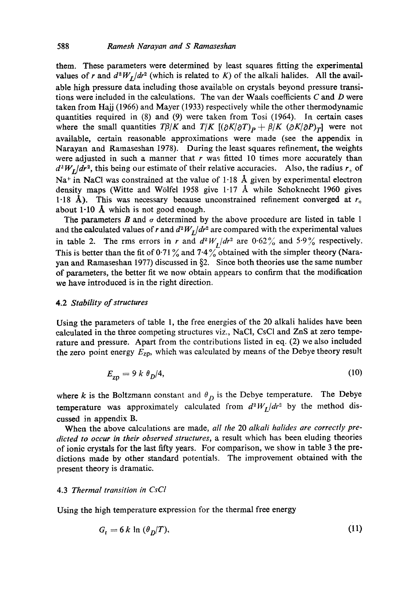them. These parameters were determined by least squares fitting the experimental values of r and  $d^2W_I/dr^2$  (which is related to K) of the alkali halides. All the available high pressure data including those available on crystals beyond pressure transitions were included in the calculations. The van der Waals coefficients  $C$  and  $D$  were taken from Hajj (1966) and Mayer (1933) respectively while the other thermodynamic quantities required in (8) and (9) were taken from Tosi (1964). In certain cases where the small quantities  $T\beta/K$  and  $T/K$   $[(\partial K/\partial T)_P + \beta/K (\partial K/\partial P)_T ]$  were not available, certain reasonable approximations were made (see the appendix in Narayan and Ramaseshan 1978). During the least squares refinement, the weights were adjusted in such a manner that  $r$  was fitted 10 times more accurately than  $d^2W_I/dr^2$ , this being our estimate of their relative accuracies. Also, the radius  $r_{+}$  of  $Na<sup>+</sup>$  in NaCl was constrained at the value of 1.18 Å given by experimental electron density maps (Witte and Wölfel 1958 give  $1.17 \text{ Å}$  while Schoknecht 1960 gives 1.18 Å). This was necessary because unconstrained refinement converged at  $r_{+}$ about 1.10 Å which is not good enough.

The parameters B and  $\sigma$  determined by the above procedure are listed in table 1 and the calculated values of r and  $d^2W_L/dr^2$  are compared with the experimental values in table 2. The rms errors in r and  $d^2W_I/dr^2$  are 0.62% and 5.9% respectively. This is better than the fit of 0.71% and  $7.4\%$  obtained with the simpler theory (Narayan and Ramaseshan 1977) discussed in §2. Since both theories use the same number of parameters, the better fit we now obtain appears to confirm that the modification we have introduced is in the right direction.

#### 4.2 *Stability of structures*

Using the parameters of table 1, the free energies of the 20 alkali halides have been calculated in the three competing structures viz., NaC1, CsCI and ZnS at zero temperature and pressure. Apart from the contributions listed in eq. (2) we also included the zero point energy *Ezp,* which was calculated by means of the Debye theory result

$$
E_{\rm zn} = 9 \, k \, \theta_{\rm D} / 4,\tag{10}
$$

where k is the Boltzmann constant and  $\theta_D$  is the Debye temperature. The Debye temperature was approximately calculated from  $d^2W_I/dr^2$  by the method discussed in appendix B.

When the above calculations are made, *all the* 20 *alkali halides are correctly predicted to occur in their observed structures,* a result which has been eluding theories of ionic crystals for the last fifty years. For comparison, we show in table 3 the predictions made by other standard potentials. The improvement obtained with the present theory is dramatic.

### 4.3 *Thermal transition in CsCI*

Using the high temperature expression for the thermal free energy

$$
G_t = 6 k \ln \left( \theta_D / T \right), \tag{11}
$$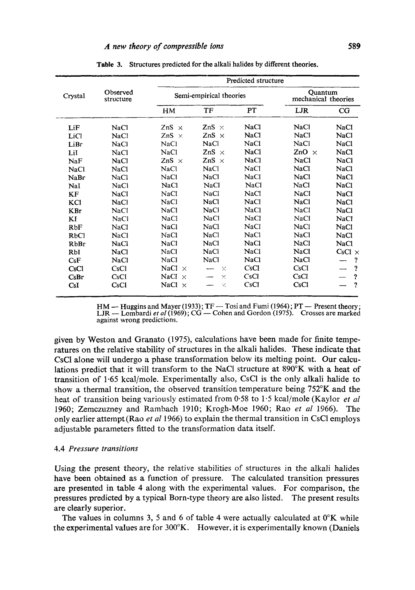|                  |                       |                  |                         | Predicted structure |                                |               |
|------------------|-----------------------|------------------|-------------------------|---------------------|--------------------------------|---------------|
| Crystal          | Observed<br>structure |                  | Semi-empirical theories |                     | Quantum<br>mechanical theories |               |
|                  |                       | HM               | TF                      | PT                  | LJR                            | CG            |
| LiF              | <b>NaCl</b>           | ZnS<br>$\times$  | ZnS $\times$            | <b>NaCl</b>         | <b>NaCl</b>                    | NaCl          |
| LiCl             | NaCl                  | ZnS<br>$\times$  | $ZnS \times$            | NaCl                | NaCl                           | NaCl          |
| LiBr             | NaCl                  | NaCl             | <b>NaCl</b>             | NaCl                | NaCl                           | NaCl          |
| LiI              | <b>NaCl</b>           | <b>NaCl</b>      | ZnS $\times$            | <b>NaCl</b>         | $ZnO \times$                   | NaCl          |
| NaF              | NaCl                  | ZnS $\times$     | ZnS<br>$\times$         | <b>NaCl</b>         | <b>NaCl</b>                    | NaCl          |
| NaCl             | NaCl                  | <b>NaCl</b>      | <b>NaCl</b>             | NaC1                | <b>NaCl</b>                    | <b>NaCl</b>   |
| NaBr             | NaCl                  | NaCl             | NaCl                    | NaCl                | NaCl                           | <b>NaCl</b>   |
| NaI              | <b>NaCl</b>           | NaCl             | <b>NaCl</b>             | <b>NaCl</b>         | NaCl                           | NaCl          |
| KF               | NaCl                  | NaCl             | <b>NaCl</b>             | <b>NaCl</b>         | NaCl                           | NaCl          |
| KCl              | <b>NaCl</b>           | <b>NaCl</b>      | <b>NaCl</b>             | <b>NaCl</b>         | <b>NaCl</b>                    | <b>NaCl</b>   |
| <b>KBr</b>       | NaCl                  | <b>NaCl</b>      | <b>NaCl</b>             | <b>NaCl</b>         | <b>NaCl</b>                    | NaCl          |
| KI               | <b>NaCl</b>           | NaCl             | NaCl                    | NaCl                | NaCl                           | <b>NaCl</b>   |
| <b>RbF</b>       | NaCl                  | NaCl             | <b>NaCl</b>             | NaCl                | <b>NaCl</b>                    | <b>NaCl</b>   |
| <b>RbCl</b>      | NaCl                  | NaCl             | <b>NaCl</b>             | NaCl                | <b>NaCl</b>                    | NaCl          |
| <b>RbBr</b>      | <b>NaCl</b>           | <b>NaCl</b>      | <b>NaCl</b>             | NaCl                | NaCl                           | NaCl          |
| RbI              | <b>NaCl</b>           | NaCl             | <b>NaCl</b>             | <b>NaCl</b>         | <b>NaCl</b>                    | $CsCl \times$ |
| C <sub>S</sub> F | NaCl                  | NaCl             | NaCl                    | <b>NaCl</b>         | NaCl                           | ?             |
| CsCl             | CsCl                  | NaCl<br>$\times$ | $\times$                | CsCl                | CsCl                           | ?             |
| CsBr             | CsCl                  | NaCl<br>$\times$ | ×                       | CsCl                | CsCl                           | ?             |
| CsI              | CsCl                  | NaCl<br>$\times$ | ×                       | CsCl                | CsCl                           | ?             |

Table 3. Structures predicted for the alkali halides by different theories.

HM — Huggins and Mayer (1933); TF — Tosi and Fumi (1964); PT — Present theory;<br>LJR — Lombardi *et al* (1969); CG — Cohen and Gordon (1975). Crosses are marked against wrong predictions.

given by Weston and Granato (1975), calculations have been made for finite temperatures on the relative stability of structures in the alkali halides. These indicate that CsCI alone will undergo a phase transformation below its melting point. Our calculations predict that it will transform to the NaC1 structure at 890°K with a heat of transition of 1.65 kcal/mole. Experimentally also, CsC1 is the only alkali halide to show a thermal transition, the observed transition temperature being 752°K and the heat of transition being variously estimated from 0.58 to 1.5 kcal/mole (Kaylor *et al*  1960; Zemczuzney and Rambach 1910; Krogh-Moe 1960; Rao *et al* 19'66). The only earlier attempt (Rao *et al* 1966) to explain the thermal transition in CsC1 employs adjustable parameters fitted to the transformation data itself.

#### 4.4 *Pressure transitions*

Using the present theory, the relative stabilities of structures in the alkali halides have been obtained as a function of pressure. The calculated transition pressures are presented in table 4 along with the experimental values. For comparison, the pressures predicted by a typical Born-type theory are also listed. The present results are clearly superior.

The values in columns 3, 5 and 6 of table 4 were actually calculated at  $0^{\circ}K$  while the experimental values are for 300°K. However, it is experimentally known (Daniels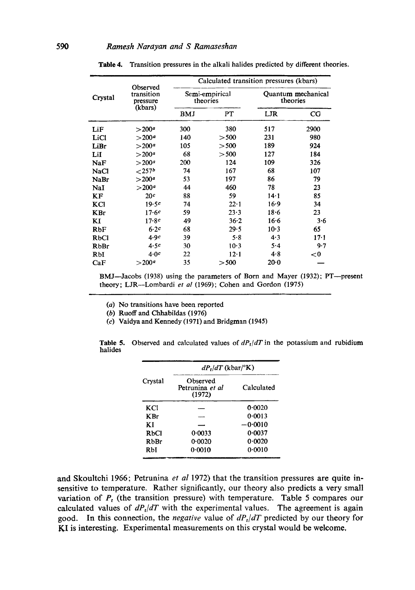|             |                                    | Calculated transition pressures (kbars) |                |                                |          |  |  |  |  |
|-------------|------------------------------------|-----------------------------------------|----------------|--------------------------------|----------|--|--|--|--|
| Crystal     | Observed<br>transition<br>pressure | theories                                | Semi-empirical | Quantum mechanical<br>theories |          |  |  |  |  |
|             | (kbars)                            | BMJ                                     | PT             | LJR                            | CG       |  |  |  |  |
| LiF         | $>$ 200 <sup>a</sup>               | 300                                     | 380            | 517                            | 2900     |  |  |  |  |
| LiCl        | $>$ 200 <sup><math>a</math></sup>  | 140                                     | > 500          | 231                            | 980      |  |  |  |  |
| LiBr        | $>$ 200 <sup>a</sup>               | 105                                     | >500           | 189                            | 924      |  |  |  |  |
| LiI         | $>$ 200 <sup>a</sup>               | 68                                      | > 500          | 127                            | 184      |  |  |  |  |
| NaF         | $>$ 200 $^a$                       | 200                                     | 124            | 109                            | 326      |  |  |  |  |
| NaCl        | ${<}257b$                          | 74                                      | 167            | 68                             | 107      |  |  |  |  |
| <b>NaBr</b> | $>$ 200 <sup>a</sup>               | 53                                      | 197            | 86                             | 79       |  |  |  |  |
| NaI         | > 200 <sup>a</sup>                 | 44                                      | 460            | 78                             | 23       |  |  |  |  |
| KF          | 20c                                | 88                                      | 59             | $14 - 1$                       | 85       |  |  |  |  |
| KCI         | 19.5c                              | 74                                      | $22 \cdot 1$   | 16.9                           | 34       |  |  |  |  |
| <b>KBr</b>  | 17.6c                              | 59                                      | 23.3           | $18 - 6$                       | 23       |  |  |  |  |
| KI          | 17.8c                              | 49                                      | $36 - 2$       | 16.6                           | 3.6      |  |  |  |  |
| RbF         | 6.2c                               | 68                                      | 29.5           | $10-3$                         | 65       |  |  |  |  |
| RbCl        | 4.9c                               | 39                                      | 5.8            | 4.3                            | $17 - 1$ |  |  |  |  |
| RbBr        | 4.5c                               | 30                                      | $10-3$         | 5.4                            | 9.7      |  |  |  |  |
| RbI         | 4.0c                               | 22                                      | $12-1$         | 4.8                            | < 0      |  |  |  |  |
| CaF         | $>200^{\circ}$                     | 35                                      | > 500          | 20.0                           |          |  |  |  |  |

Table 4. Transition pressures in the alkali halides predicted by different theories.

BMJ-Jacobs (1938) using the parameters of Born and Mayer (1932); PT--present theory; LJR--Lombardi *et al* (1969); Cohen and Gordon (1975)

(a) No transitions have been reported

(b) Ruoff and Chhabildas (1976)

(c) Vaidya and Kennedy (1971) and Bridgman (1945)

|         | $dP_t/dT$ (kbar/°K)                   |            |  |  |  |  |  |
|---------|---------------------------------------|------------|--|--|--|--|--|
| Crystal | Observed<br>Petrunina et al<br>(1972) | Calculated |  |  |  |  |  |
| KCI     |                                       | 0.0020     |  |  |  |  |  |
| K Br    |                                       | 0.0013     |  |  |  |  |  |
| ΚI      |                                       | $-0.0010$  |  |  |  |  |  |
| RbCl    | 0.0033                                | 0.0037     |  |  |  |  |  |
| RbBr    | 0.0020                                | 0.0020     |  |  |  |  |  |
| RbI     | 0.0010                                | 0.0010     |  |  |  |  |  |

Table 5. Observed and calculated values of  $dP_t/dT$  in the potassium and rubidium halides

and Skoultchi 1966; Petrunina *et al* 1972) that the transition pressures are quite insensitive to temperature. Rather significantly, our theory also predicts a very small variation of  $P_t$  (the transition pressure) with temperature. Table 5 compares our calculated values of  $dP_t/dT$  with the experimental values. The agreement is again good. In this connection, the *negative* value of *dPr/dT* predicted by our theory for KI is interesting. Experimental measurements on this crystal would be welcome,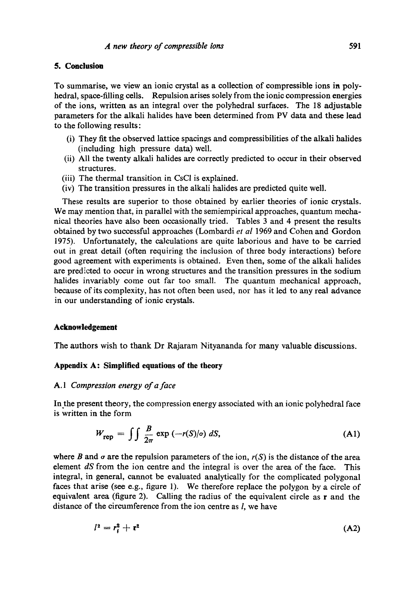### **5. Conclusion**

To summarise, we view an ionic crystal as a collection of compressible ions in polyhedral, space-filling cells. Repulsion arises solely from the ionic compression energies of the ions, written as an integral over the polyhedral surfaces. The 18 adjustable parameters for the alkali halides have been determined from PV data and these lead to the following results:

- (i) They fit the observed lattice spacings and eompressibilities of the alkali halides (including high pressure data) well.
- (ii) All the twenty alkali halides are correctly predicted to occur in their observed structures.
- (iii) The thermal transition in CsCI is explained.
- (iv) The transition pressures in the alkali halides are predicted quite well.

These results are superior to those obtained by earlier theories of ionic crystals. We may mention that, in parallel with the semiempirical approaches, quantum mechanical theories have also been occasionally tried. Tables 3 and 4 present the results obtained by two successful approaches (Lombardi *et al* 1969 and Cohen and Gordon 1975). Unfortunately, the calculations are quite laborious and have to be carried out in great detail (often requiring the inclusion of three body interactions) before good agreement with experiments is obtained. Even then, some of the alkali halides are predicted to occur in wrong structures and the transition pressures in the sodium halides invariably come out far too small. The quantum mechanical approach, because of its complexity, has not often been used, nor has it led to any real advance in our understanding of ionic crystals.

#### **Acknowledgement**

The authors wish to thank Dr Rajaram Nityananda for many valuable discussions.

#### **Appendix A: Simplified equations of the theory**

#### *A. 1 Compression energy of a face*

In the present theory, the compression energy associated with an ionic polyhedral face is written in the form

$$
W_{\text{rep}} = \iint \frac{B}{2\pi} \exp(-r(S)/\sigma) dS,
$$
 (A1)

where B and  $\sigma$  are the repulsion parameters of the ion,  $r(S)$  is the distance of the area element *dS* from the ion centre and the integral is over the area of the face. This integral, in general, cannot be evaluated analytically for the complicated polygonal faces that arise (see e.g., figure 1). We therefore replace the polygon by a circle of equivalent area (figure 2). Calling the radius of the equivalent circle as r and the distance of the circumference from the ion centre as *l*, we have

$$
l^2 = r_i^2 + r^2 \tag{A2}
$$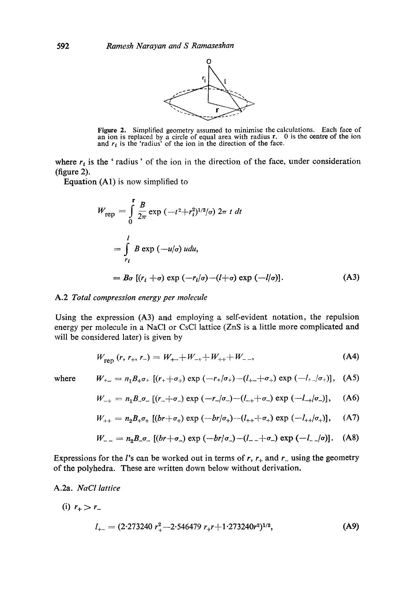

Figure 2. Simplified geometry assumed to minimise the calculations. Each face of an ion is replaced by a circle of equal area with radius  $r$ . 0 is the centre of the ion and  $r_i$  is the 'radius' of the ion in the direction of the face.

where  $r_i$  is the ' radius' of the ion in the direction of the face, under consideration (figure 2).

Equation (A1) is now simplified to

$$
W_{\text{rep}} = \int_{0}^{r} \frac{B}{2\pi} \exp\left(-t^2 + r_i^2\right)^{1/2} |\sigma| \, 2\pi \, t \, dt
$$
\n
$$
= \int_{r_i}^{l} B \exp\left(-u/\sigma\right) u du,
$$
\n
$$
= B\sigma \left[ (r_i + \sigma) \exp\left(-r_i/\sigma\right) - (l + \sigma) \exp\left(-l/\sigma\right) \right]. \tag{A3}
$$

## A.2 *Total compression energy per molecule*

Using the expression (A3) and employing a self-evident notation, the repulsion energy per molecule in a NaCI or CsC1 lattice (ZnS is a little more complicated and will be considered later) is given by

$$
W_{\text{ren}}(r, r_+, r_-) = W_{++} + W_{-+} + W_{++} + W_{--}, \tag{A4}
$$

where 
$$
W_{+-} = n_1 B_+ \sigma_+ [(r_+ + \sigma_+) \exp (-r_+/\sigma_+) - (l_{+-} + \sigma_+) \exp (-l_{+-}/\sigma_+)],
$$
 (A5)

$$
W_{-+} = n_1 B_{-\sigma_{-}} [(r_{-} + \sigma_{-}) \exp (-r_{-}/\sigma_{-}) - (l_{-+} + \sigma_{-}) \exp (-l_{-+}/\sigma_{-})], \quad (A6)
$$

$$
W_{++} = n_2 B_+ \sigma_+ \left[ (br + \sigma_+) \exp \left( -br / \sigma_+ \right) - (l_{++} + \sigma_+) \exp \left( -l_{++} / \sigma_+ \right) \right], \quad (A7)
$$

$$
W_{--} = n_2 B_-\sigma_- [(br + \sigma_-) \exp(-br/\sigma_-) - (l_- + \sigma_-) \exp(-l_-/\sigma)]. \quad (A8)
$$

Expressions for the l's can be worked out in terms of r,  $r_+$  and  $r_-$  using the geometry of the polyhedra. These are written down below without derivation.

A.2a. *NaCl lattice* 

(i) 
$$
r_+ > r_-
$$

$$
l_{+-} = (2.273240 r_+^2 - 2.546479 r_+ r + 1.273240 r^2)^{1/2},
$$
 (A9)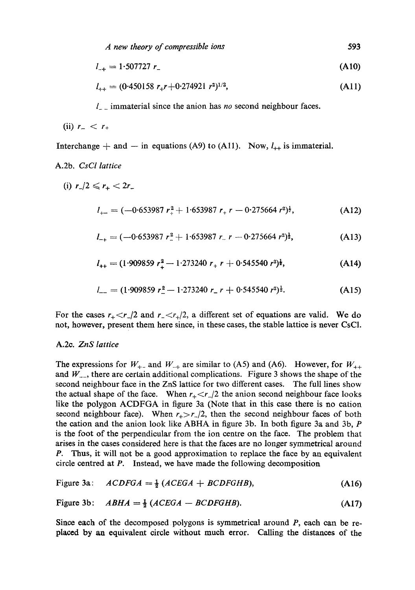$$
l_{-+} = 1.507727 r_{-}
$$
 (A10)

$$
l_{++} = (0.450158 \ r_+ r + 0.274921 \ r^2)^{1/2}, \tag{A11}
$$

l\_ \_ immaterial since the anion has *no* second neighbour faces.

$$
(ii) r_- < r_+
$$

Interchange  $+$  and  $-$  in equations (A9) to (A11). Now,  $l_{++}$  is immaterial.

## A.2b. *CsCI lattice*

(i) 
$$
r_1/2 \leq r_+ < 2r_-
$$

$$
l_{+-} = (-0.653987 r_{+}^{2} + 1.653987 r_{+} r - 0.275664 r^{2})^{\frac{1}{2}}, \qquad (A12)
$$

$$
l_{-+} = (-0.653987 \ r_{-}^2 + 1.653987 \ r_{-} \ r - 0.275664 \ r^2)^{\frac{1}{2}}, \tag{A13}
$$

$$
l_{++} = (1.909859 r_+^2 - 1.273240 r_+ r + 0.545540 r^2)^{\frac{1}{2}}, \tag{A14}
$$

$$
l_{-} = (1.909859 r_{-}^{2} - 1.273240 r_{-} r + 0.545540 r^{2})^{\frac{1}{2}}.
$$
 (A15)

For the cases  $r_{+} < r_{-}/2$  and  $r_{-} < r_{+}/2$ , a different set of equations are valid. We do not, however, present them here since, in these cases, the stable lattice is never CsCI.

### A.2c. *ZnS lattice*

The expressions for  $W_{++}$  and  $W_{-+}$  are similar to (A5) and (A6). However, for  $W_{++}$ and  $W_{-}$ , there are certain additional complications. Figure 3 shows the shape of the second neighbour face in the ZnS lattice for two different cases. The full lines show the actual shape of the face. When  $r_{+} < r_{-}/2$  the anion second neighbour face looks like the polygon ACDFGA in figure 3a (Note that in this case there is no cation second neighbour face). When  $r_{+} > r_{-}/2$ , then the second neighbour faces of both the cation and the anion look like ABHA in figure 3b. In both figure 3a and 3b,  $P$ is the foot of the perpendicular from the ion centre on the face. The problem that arises in the cases considered here is that the faces are no longer symmetrical around P. Thus, it will not be a good approximation to replace the face by an equivalent circle centred at P. Instead, we have made the following decomposition

Figure 3a: 
$$
ACDFGA = \frac{1}{2} (ACEGA + BCDFGHB),
$$
 (A16)

Figure 3b: 
$$
ABHA = \frac{1}{2}(ACEGA - BCDFGHB)
$$
. (A17)

Since each of the decomposed polygons is symmetrical around P, each can be replaced by an equivalent circle without much error. Calling the distances of the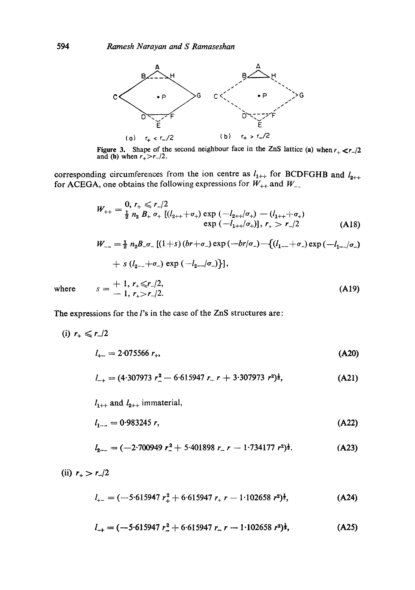

Figure 3. Shape of the second neighbour face in the ZnS lattice (a) when  $r_{+} < r_{-}/2$ and (**b**) when  $r_{+} > r_{-}/2$ .

corresponding circumferences from the ion centre as  $I_{1++}$  for BCDFGHB and  $I_{2++}$ for ACEGA, one obtains the following expressions for  $W_{++}$  and  $W_{--}$ 

$$
W_{++} = \frac{0}{2} n_2 B_+ \sigma_+ \left[ (l_{2++} + \sigma_+) \exp \left( -l_{2++} / \sigma_+ \right) - (l_{1++} + \sigma_+ \right) \exp \left( -l_{1++} / \sigma_+ \right), r_+ > r_- / 2
$$
\n(A18)

$$
W_{--} = \frac{1}{2} n_2 B_{-\sigma_{-}} [(1+s)(br+\sigma_{-}) \exp(-br/\sigma_{-}) - \{(l_{1--} + \sigma_{-}) \exp(-l_{1--}/\sigma_{-}) + s (l_{2--} + \sigma_{-}) \exp(-l_{2--}/\sigma_{-})\}],
$$

where 
$$
s = \frac{1}{n}, r_{+} \le r_{-}/2,
$$
  
=  $\frac{1}{n}, r_{+} > r_{-}/2.$  (A19)

The expressions for the *l*'s in the case of the ZnS structures are:

$$
(i) r_+ \leqslant r_-/2
$$

$$
l_{+-} = 2.075566 r_+, \tag{A20}
$$

$$
l_{-+} = (4.307973 \ r_-^2 - 6.615947 \ r_- \ r + 3.307973 \ r^2)^{\frac{1}{2}}, \tag{A21}
$$

$$
l_{1++}
$$
 and  $l_{2++}$  immaterial,

$$
l_{1-}=0.983245 r, \t\t (A22)
$$

$$
l_{2-} = (-2.700949 \ r_{-}^2 + 5.401898 \ r_{-} \ r - 1.734177 \ r^2)^{\frac{1}{2}}.
$$
 (A23)

(ii)  $r_{+} > r_{-}/2$ 

$$
l_{+-} = (-5.615947 r_{+}^{2} + 6.615947 r_{+} r - 1.102658 r^{2})^{\frac{1}{2}},
$$
 (A24)

$$
l_{+} = (-5.615947 \ r_{-}^{2} + 6.615947 \ r_{-} \ r - 1.102658 \ r^{2})^{\frac{1}{2}}, \tag{A25}
$$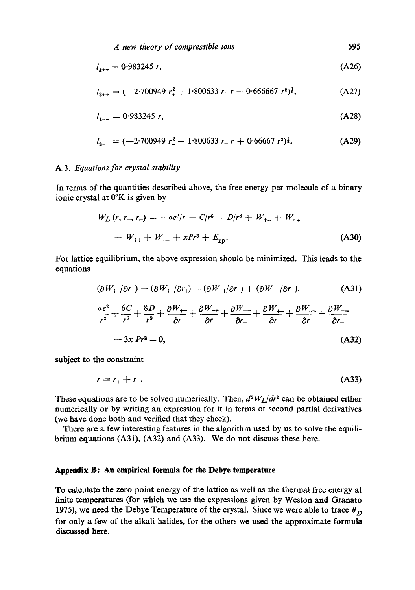$$
l_{1++} = 0.983245 r, \tag{A26}
$$

$$
l_{2++} = (-2.700949 r_{+}^{2} + 1.800633 r_{+} r + 0.666667 r^{2})^{\frac{1}{2}}, \tag{A27}
$$

$$
l_{1-} = 0.983245 r, \tag{A28}
$$

$$
l_{2-} = (-2.700949 \ r_{-}^2 + 1.800633 \ r_{-} r + 0.66667 \ r^2)^{\frac{1}{2}}.
$$
 (A29)

#### A.3. *Equations for crystal stability*

In terms of the quantities described above, the free energy per molecule of a binary ionic crystal at 0°K is given by

$$
W_L(r, r_+, r_-) = -\alpha e^2/r - C/r^6 - D/r^8 + W_{+-} + W_{-+} + W_{++} + W_{-+} + xPr^3 + E_{\text{zp}}.
$$
\n(A30)

For lattice equilibrium, the above expression should be minimized. This leads to the equations

$$
(\partial W_{+-}/\partial r_{+}) + (\partial W_{++}/\partial r_{+}) = (\partial W_{-+}/\partial r_{-}) + (\partial W_{--}/\partial r_{-}), \qquad (A31)
$$

$$
\frac{ae^2}{r^2} + \frac{6C}{r^7} + \frac{8D}{r^9} + \frac{\partial W_{+-}}{\partial r} + \frac{\partial W_{-+}}{\partial r} + \frac{\partial W_{-+}}{\partial r} + \frac{\partial W_{++}}{\partial r} + \frac{\partial W_{--}}{\partial r} + \frac{\partial W_{--}}{\partial r} + 3x Pr^2 = 0,
$$
\n(A32)

subject to the constraint

$$
r = r_+ + r_-.
$$
 (A33)

These equations are to be solved numerically. Then,  $d^2W_L/dr^2$  can be obtained either numerically or by writing an expression for it in terms of second partial derivatives (we have done both and verified that they check).

There are a few interesting features in the algorithm used by us to solve the equilibrium equations (A31), (A32) and (A33). We do not discuss these here.

## **Appendix B: An empirical formula for the Debye temperature**

To calculate the zero point energy of the lattice as well as the thermal free energy at finite temperatures (for which we use the expressions given by Weston and Granato 1975), we need the Debye Temperature of the crystal. Since we were able to trace  $\theta_{\mathbf{D}}$ for only a few of the alkali halides, for the others we used the approximate formula discussed here.

**595**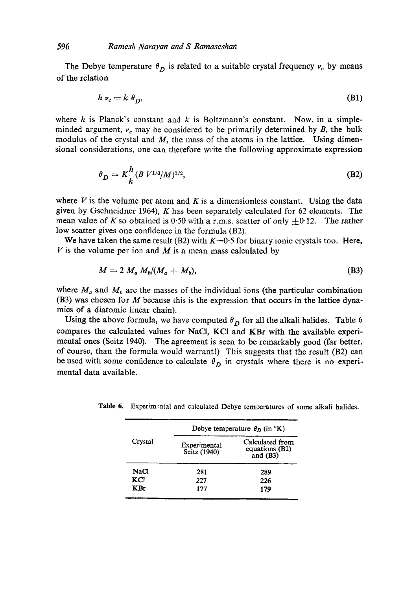The Debye temperature  $\theta_D$  is related to a suitable crystal frequency  $v_c$  by means of the relation

$$
h \nu_c = k \theta_D, \tag{B1}
$$

where h is Planck's constant and  $k$  is Boltzmann's constant. Now, in a simpleminded argument,  $v_c$  may be considered to be primarily determined by  $B$ , the bulk modulus of the crystal and  $M$ , the mass of the atoms in the lattice. Using dimensional considerations, one can therefore write the following approximate expression

$$
\theta_D = K_{\overline{k}}^h (B V^{1/3} / M)^{1/2}, \tag{B2}
$$

where  $V$  is the volume per atom and  $K$  is a dimensionless constant. Using the data given by Gschneidner 1964), K has been separately calculated for 62 elements. The mean value of K so obtained is 0.50 with a r.m.s. scatter of only  $\pm$ 0.12. The rather low scatter gives one confidence in the formula (B2).

We have taken the same result (B2) with  $K=0.5$  for binary ionic crystals too. Here,  $V$  is the volume per ion and  $M$  is a mean mass calculated by

$$
M = 2 M_a M_b / (M_a + M_b), \tag{B3}
$$

where  $M_a$  and  $M_b$  are the masses of the individual ions (the particular combination (B3) was chosen for  $M$  because this is the expression that occurs in the lattice dynamics of a diatomic linear chain).

Using the above formula, we have computed  $\theta_D$  for all the alkali halides. Table 6 compares the calculated values for NaCI, KCI and KBr with the available experimental ones (Seitz 1940). The agreement is seen to be remarkably good (far better, of course, than the formula would warrant!) This suggests that the result (B2) can be used with some confidence to calculate  $\theta_D$  in crystals where there is no experimental data available.

|            |                              | Debye temperature $\theta_D$ (in $\mathrm{K}$ ) |
|------------|------------------------------|-------------------------------------------------|
| Crystal    | Experimental<br>Seitz (1940) | Calculated from<br>equations (B2)<br>and $(B3)$ |
| NaCl       | 281                          | 289                                             |
| KCI        | 227                          | 226                                             |
| <b>KBr</b> | 177                          | 179                                             |

Table 6. Experimental and calculated Debye temperatures of some alkali halides.